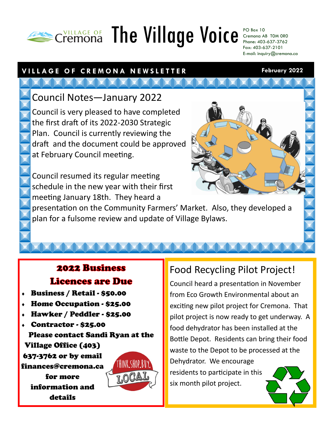# **THE AGE OF The Village Voice** PO Box 10

Cremona AB T0M 0R0 Phone: 403-637-3762 Fax: 403-637-2101 E-mail: inquiry@cremona.ca

**February 2022**

## **V I L L A G E O F C R E M O N A N E W S L E T T E R**

Council Notes—January 2022

Council is very pleased to have completed the first draft of its 2022-2030 Strategic Plan. Council is currently reviewing the draft and the document could be approved at February Council meeting.

Council resumed its regular meeting schedule in the new year with their first meeting January 18th. They heard a



presentation on the Community Farmers' Market. Also, they developed a plan for a fulsome review and update of Village Bylaws.

## **2022 Business Licences are Due**

- Business / Retail \$50.00
- Home Occupation \$25.00
- Hawker / Peddler \$25.00
- Contractor \$25.00

Please contact Sandi Ryan at the Village Office (403)

637-3762 or by email finances@cremona.ca

> for more information and details



# Food Recycling Pilot Project!

Council heard a presentation in November from Eco Growth Environmental about an exciting new pilot project for Cremona. That pilot project is now ready to get underway. A food dehydrator has been installed at the Bottle Depot. Residents can bring their food waste to the Depot to be processed at the Dehydrator. We encourage residents to participate in this six month pilot project.